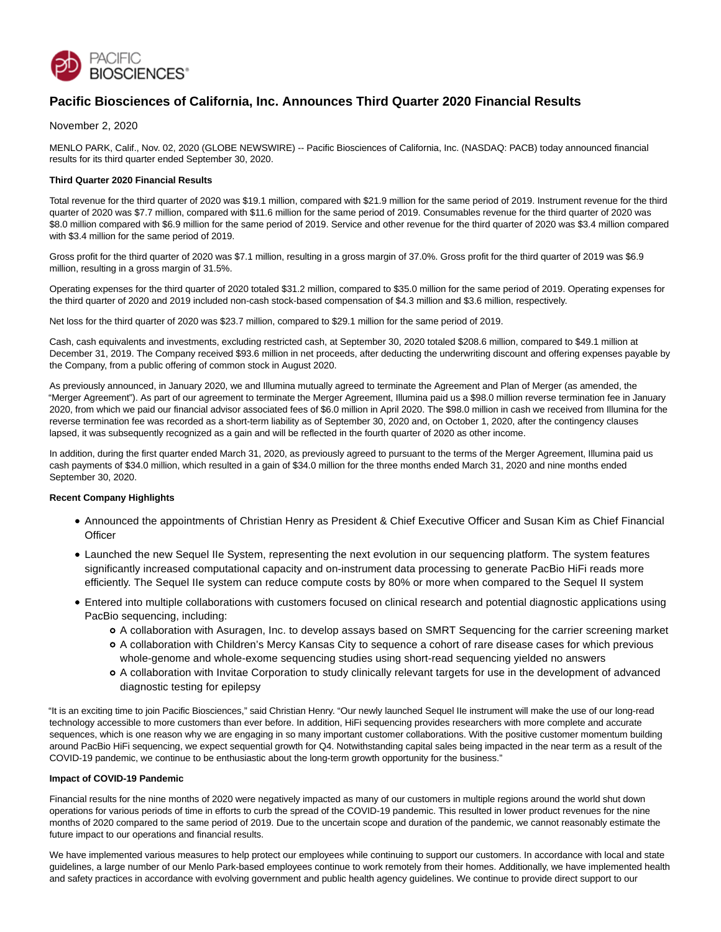

# **Pacific Biosciences of California, Inc. Announces Third Quarter 2020 Financial Results**

November 2, 2020

MENLO PARK, Calif., Nov. 02, 2020 (GLOBE NEWSWIRE) -- Pacific Biosciences of California, Inc. (NASDAQ: PACB) today announced financial results for its third quarter ended September 30, 2020.

## **Third Quarter 2020 Financial Results**

Total revenue for the third quarter of 2020 was \$19.1 million, compared with \$21.9 million for the same period of 2019. Instrument revenue for the third quarter of 2020 was \$7.7 million, compared with \$11.6 million for the same period of 2019. Consumables revenue for the third quarter of 2020 was \$8.0 million compared with \$6.9 million for the same period of 2019. Service and other revenue for the third quarter of 2020 was \$3.4 million compared with \$3.4 million for the same period of 2019.

Gross profit for the third quarter of 2020 was \$7.1 million, resulting in a gross margin of 37.0%. Gross profit for the third quarter of 2019 was \$6.9 million, resulting in a gross margin of 31.5%.

Operating expenses for the third quarter of 2020 totaled \$31.2 million, compared to \$35.0 million for the same period of 2019. Operating expenses for the third quarter of 2020 and 2019 included non-cash stock-based compensation of \$4.3 million and \$3.6 million, respectively.

Net loss for the third quarter of 2020 was \$23.7 million, compared to \$29.1 million for the same period of 2019.

Cash, cash equivalents and investments, excluding restricted cash, at September 30, 2020 totaled \$208.6 million, compared to \$49.1 million at December 31, 2019. The Company received \$93.6 million in net proceeds, after deducting the underwriting discount and offering expenses payable by the Company, from a public offering of common stock in August 2020.

As previously announced, in January 2020, we and Illumina mutually agreed to terminate the Agreement and Plan of Merger (as amended, the "Merger Agreement"). As part of our agreement to terminate the Merger Agreement, Illumina paid us a \$98.0 million reverse termination fee in January 2020, from which we paid our financial advisor associated fees of \$6.0 million in April 2020. The \$98.0 million in cash we received from Illumina for the reverse termination fee was recorded as a short-term liability as of September 30, 2020 and, on October 1, 2020, after the contingency clauses lapsed, it was subsequently recognized as a gain and will be reflected in the fourth quarter of 2020 as other income.

In addition, during the first quarter ended March 31, 2020, as previously agreed to pursuant to the terms of the Merger Agreement, Illumina paid us cash payments of \$34.0 million, which resulted in a gain of \$34.0 million for the three months ended March 31, 2020 and nine months ended September 30, 2020.

## **Recent Company Highlights**

- Announced the appointments of Christian Henry as President & Chief Executive Officer and Susan Kim as Chief Financial **Officer**
- Launched the new Sequel IIe System, representing the next evolution in our sequencing platform. The system features significantly increased computational capacity and on-instrument data processing to generate PacBio HiFi reads more efficiently. The Sequel IIe system can reduce compute costs by 80% or more when compared to the Sequel II system
- Entered into multiple collaborations with customers focused on clinical research and potential diagnostic applications using PacBio sequencing, including:
	- A collaboration with Asuragen, Inc. to develop assays based on SMRT Sequencing for the carrier screening market
	- A collaboration with Children's Mercy Kansas City to sequence a cohort of rare disease cases for which previous whole-genome and whole-exome sequencing studies using short-read sequencing yielded no answers
	- A collaboration with Invitae Corporation to study clinically relevant targets for use in the development of advanced diagnostic testing for epilepsy

"It is an exciting time to join Pacific Biosciences," said Christian Henry. "Our newly launched Sequel IIe instrument will make the use of our long-read technology accessible to more customers than ever before. In addition, HiFi sequencing provides researchers with more complete and accurate sequences, which is one reason why we are engaging in so many important customer collaborations. With the positive customer momentum building around PacBio HiFi sequencing, we expect sequential growth for Q4. Notwithstanding capital sales being impacted in the near term as a result of the COVID-19 pandemic, we continue to be enthusiastic about the long-term growth opportunity for the business."

#### **Impact of COVID-19 Pandemic**

Financial results for the nine months of 2020 were negatively impacted as many of our customers in multiple regions around the world shut down operations for various periods of time in efforts to curb the spread of the COVID-19 pandemic. This resulted in lower product revenues for the nine months of 2020 compared to the same period of 2019. Due to the uncertain scope and duration of the pandemic, we cannot reasonably estimate the future impact to our operations and financial results.

We have implemented various measures to help protect our employees while continuing to support our customers. In accordance with local and state guidelines, a large number of our Menlo Park-based employees continue to work remotely from their homes. Additionally, we have implemented health and safety practices in accordance with evolving government and public health agency guidelines. We continue to provide direct support to our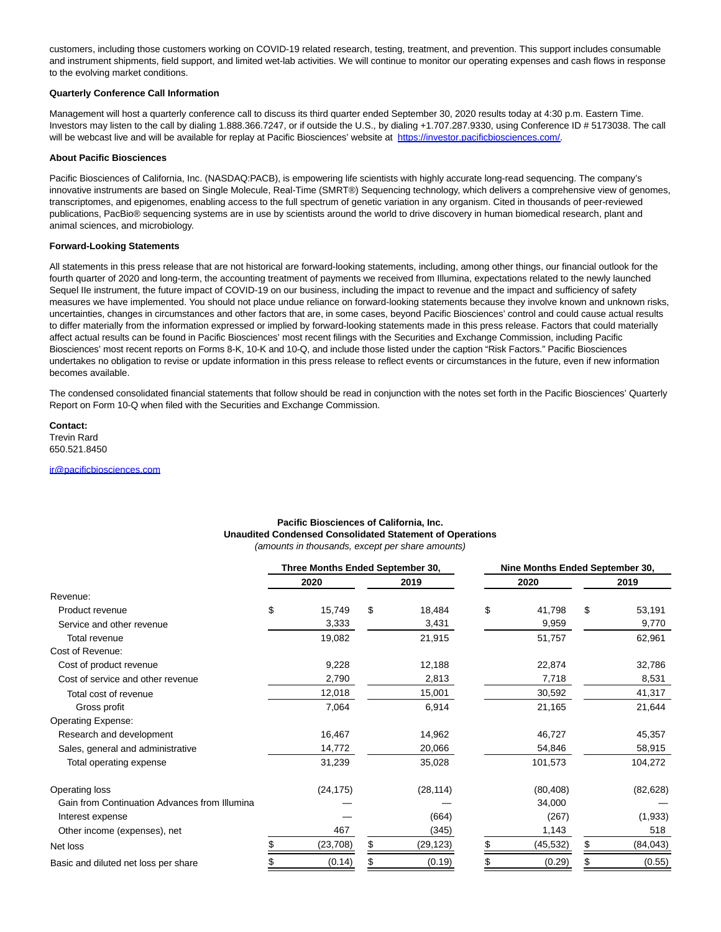customers, including those customers working on COVID-19 related research, testing, treatment, and prevention. This support includes consumable and instrument shipments, field support, and limited wet-lab activities. We will continue to monitor our operating expenses and cash flows in response to the evolving market conditions.

## **Quarterly Conference Call Information**

Management will host a quarterly conference call to discuss its third quarter ended September 30, 2020 results today at 4:30 p.m. Eastern Time. Investors may listen to the call by dialing 1.888.366.7247, or if outside the U.S., by dialing +1.707.287.9330, using Conference ID # 5173038. The call will be webcast live and will be available for replay at Pacific Biosciences' website at [https://investor.pacificbiosciences.com/.](https://www.globenewswire.com/Tracker?data=jJIbhdCRDbHLC2psFCPfIEwg1Rr7ld9duXevoF0KOcKYw1Zz_kGnkzmZ1OHtDh_PTwVIwsZdowIepN8HxuMA-5ULQ2P_8yG7VuPJYw_3qqGfIf5YdoIBzes2RAHbn2naABYk9ac3Nmd-z_nSY1UVjA==)

#### **About Pacific Biosciences**

Pacific Biosciences of California, Inc. (NASDAQ:PACB), is empowering life scientists with highly accurate long-read sequencing. The company's innovative instruments are based on Single Molecule, Real-Time (SMRT®) Sequencing technology, which delivers a comprehensive view of genomes, transcriptomes, and epigenomes, enabling access to the full spectrum of genetic variation in any organism. Cited in thousands of peer-reviewed publications, PacBio® sequencing systems are in use by scientists around the world to drive discovery in human biomedical research, plant and animal sciences, and microbiology.

# **Forward-Looking Statements**

All statements in this press release that are not historical are forward-looking statements, including, among other things, our financial outlook for the fourth quarter of 2020 and long-term, the accounting treatment of payments we received from Illumina, expectations related to the newly launched Sequel IIe instrument, the future impact of COVID-19 on our business, including the impact to revenue and the impact and sufficiency of safety measures we have implemented. You should not place undue reliance on forward-looking statements because they involve known and unknown risks, uncertainties, changes in circumstances and other factors that are, in some cases, beyond Pacific Biosciences' control and could cause actual results to differ materially from the information expressed or implied by forward-looking statements made in this press release. Factors that could materially affect actual results can be found in Pacific Biosciences' most recent filings with the Securities and Exchange Commission, including Pacific Biosciences' most recent reports on Forms 8-K, 10-K and 10-Q, and include those listed under the caption "Risk Factors." Pacific Biosciences undertakes no obligation to revise or update information in this press release to reflect events or circumstances in the future, even if new information becomes available.

The condensed consolidated financial statements that follow should be read in conjunction with the notes set forth in the Pacific Biosciences' Quarterly Report on Form 10-Q when filed with the Securities and Exchange Commission.

**Contact:** Trevin Rard 650.521.8450

[ir@pacificbiosciences.com](https://www.globenewswire.com/Tracker?data=IqCdXFolsYkcWUUikWpY4DU4ungkXHQn_I7uNrIX08UpqPz_lZWb0WUUebvIgEmROtwZWeiWXfZp03PGhtxLx7cX9vv8winMMBMR7_2rUkg=)

## **Pacific Biosciences of California, Inc. Unaudited Condensed Consolidated Statement of Operations** (amounts in thousands, except per share amounts)

|                                               | Three Months Ended September 30, |    |           | Nine Months Ended September 30, |           |    |           |
|-----------------------------------------------|----------------------------------|----|-----------|---------------------------------|-----------|----|-----------|
|                                               | 2020                             |    | 2019      |                                 | 2020      |    | 2019      |
| Revenue:                                      |                                  |    |           |                                 |           |    |           |
| Product revenue                               | \$<br>15,749                     | \$ | 18,484    | \$                              | 41,798    | \$ | 53,191    |
| Service and other revenue                     | 3,333                            |    | 3,431     |                                 | 9,959     |    | 9,770     |
| Total revenue                                 | 19,082                           |    | 21,915    |                                 | 51,757    |    | 62,961    |
| Cost of Revenue:                              |                                  |    |           |                                 |           |    |           |
| Cost of product revenue                       | 9,228                            |    | 12,188    |                                 | 22,874    |    | 32,786    |
| Cost of service and other revenue             | 2,790                            |    | 2,813     |                                 | 7,718     |    | 8,531     |
| Total cost of revenue                         | 12,018                           |    | 15,001    |                                 | 30,592    |    | 41,317    |
| Gross profit                                  | 7,064                            |    | 6,914     |                                 | 21,165    |    | 21,644    |
| <b>Operating Expense:</b>                     |                                  |    |           |                                 |           |    |           |
| Research and development                      | 16,467                           |    | 14,962    |                                 | 46,727    |    | 45,357    |
| Sales, general and administrative             | 14,772                           |    | 20,066    |                                 | 54,846    |    | 58,915    |
| Total operating expense                       | 31,239                           |    | 35,028    |                                 | 101,573   |    | 104,272   |
| Operating loss                                | (24, 175)                        |    | (28, 114) |                                 | (80, 408) |    | (82, 628) |
| Gain from Continuation Advances from Illumina |                                  |    |           |                                 | 34,000    |    |           |
| Interest expense                              |                                  |    | (664)     |                                 | (267)     |    | (1,933)   |
| Other income (expenses), net                  | 467                              |    | (345)     |                                 | 1,143     |    | 518       |
| Net loss                                      | (23, 708)                        | S  | (29,123)  | S                               | (45, 532) | \$ | (84, 043) |
| Basic and diluted net loss per share          | (0.14)                           |    | (0.19)    |                                 | (0.29)    |    | (0.55)    |